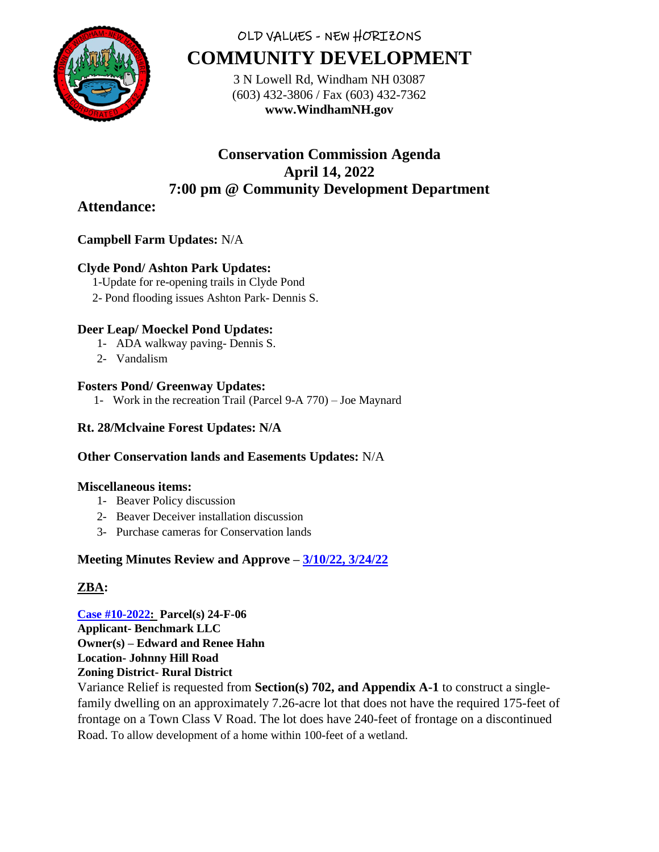

# OLD VALUES - NEW HORIZONS **COMMUNITY DEVELOPMENT**

3 N Lowell Rd, Windham NH 03087 (603) 432-3806 / Fax (603) 432-7362 **www.WindhamNH.gov**

# **Conservation Commission Agenda April 14, 2022 7:00 pm @ Community Development Department**

## **Attendance:**

## **Campbell Farm Updates:** N/A

## **Clyde Pond/ Ashton Park Updates:**

- 1-Update for re-opening trails in Clyde Pond
- 2- Pond flooding issues Ashton Park- Dennis S.

#### **Deer Leap/ Moeckel Pond Updates:**

- 1- ADA walkway paving- Dennis S.
- 2- Vandalism

#### **Fosters Pond/ Greenway Updates:**

1- Work in the recreation Trail (Parcel 9-A 770) – Joe Maynard

## **Rt. 28/Mclvaine Forest Updates: N/A**

## **Other Conservation lands and Easements Updates:** N/A

#### **Miscellaneous items:**

- 1- Beaver Policy discussion
- 2- Beaver Deceiver installation discussion
- 3- Purchase cameras for Conservation lands

## **Meeting Minutes Review and Approve – [3/10/22, 3/24/22](https://www.windhamnh.gov/DocumentCenter/Index/825)**

## **ZBA:**

**[Case #10-2022:](https://www.windhamnh.gov/DocumentCenter/Index/947) Parcel(s) 24-F-06 Applicant- Benchmark LLC Owner(s) – Edward and Renee Hahn Location- Johnny Hill Road Zoning District- Rural District**

Variance Relief is requested from **Section(s) 702, and Appendix A-1** to construct a singlefamily dwelling on an approximately 7.26-acre lot that does not have the required 175-feet of frontage on a Town Class V Road. The lot does have 240-feet of frontage on a discontinued Road. To allow development of a home within 100-feet of a wetland.